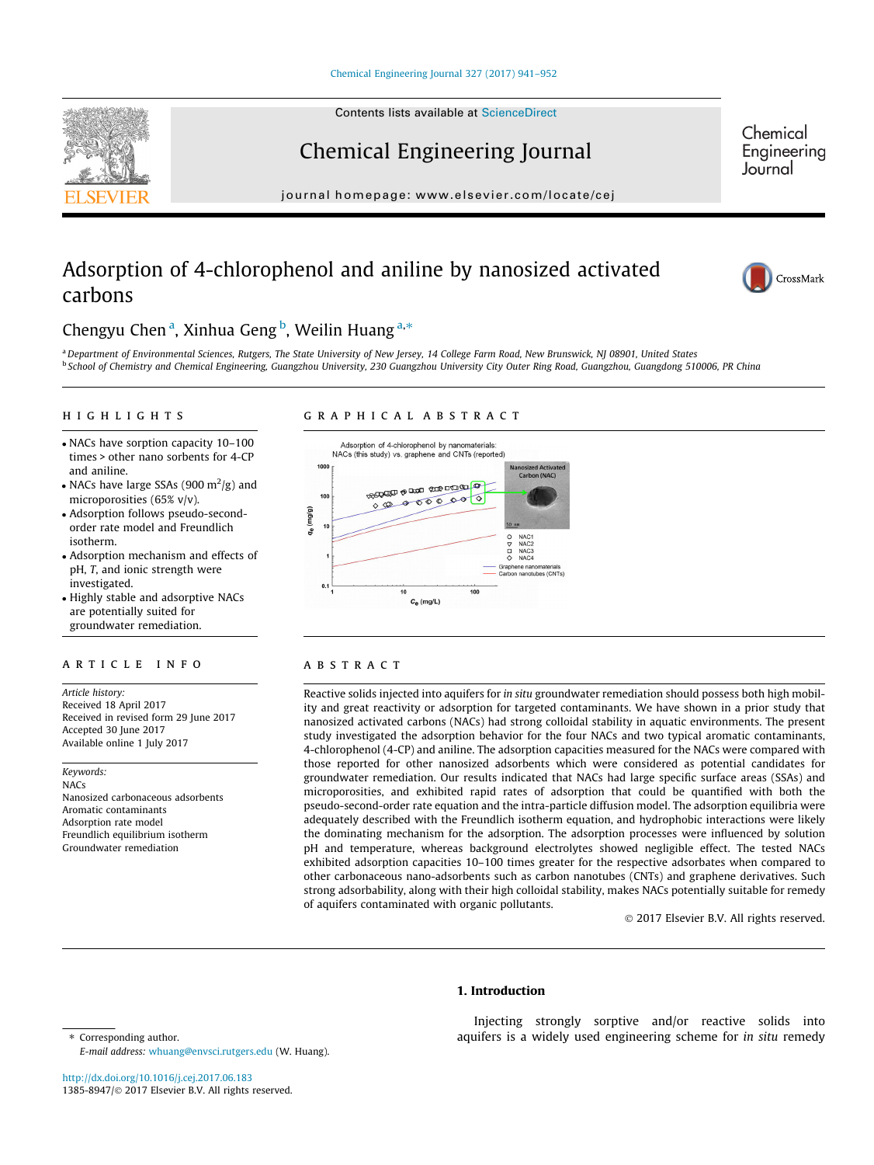## Chemical Engineering Journal

journal homepage: [www.elsevier.com/locate/cej](http://www.elsevier.com/locate/cej)

## Adsorption of 4-chlorophenol and aniline by nanosized activated carbons



Chemical Engineering Journal

## Chengyu Chen<sup>a</sup>, Xinhua Geng<sup>b</sup>, Weilin Huang<sup>a,\*</sup>

a Department of Environmental Sciences, Rutgers, The State University of New Jersey, 14 College Farm Road, New Brunswick, NJ 08901, United States <sup>b</sup> School of Chemistry and Chemical Engineering, Guangzhou University, 230 Guangzhou University City Outer Ring Road, Guangzhou, Guangdong 510006, PR China

## highlights are the second control of the second control of the second control of the second control of the second control of the second control of the second control of the second control of the second control of the secon

## graphical abstracts and abstracts abstract abstracts abstract abstracts abstracts abstract abstracts

- NACs have sorption capacity 10–100 times > other nano sorbents for 4-CP and aniline.
- NACs have large SSAs (900  $\mathrm{m}^2/\mathrm{g}$ ) and microporosities (65% v/v).
- Adsorption follows pseudo-secondorder rate model and Freundlich isotherm.
- Adsorption mechanism and effects of pH, T, and ionic strength were investigated.
- Highly stable and adsorptive NACs are potentially suited for groundwater remediation.

Article history: Received 18 April 2017 Received in revised form 29 June 2017 Accepted 30 June 2017 Available online 1 July 2017

Keywords: NACs Nanosized carbonaceous adsorbents Aromatic contaminants Adsorption rate model Freundlich equilibrium isotherm Groundwater remediation



### **ABSTRACT**

Reactive solids injected into aquifers for in situ groundwater remediation should possess both high mobility and great reactivity or adsorption for targeted contaminants. We have shown in a prior study that nanosized activated carbons (NACs) had strong colloidal stability in aquatic environments. The present study investigated the adsorption behavior for the four NACs and two typical aromatic contaminants, 4-chlorophenol (4-CP) and aniline. The adsorption capacities measured for the NACs were compared with those reported for other nanosized adsorbents which were considered as potential candidates for groundwater remediation. Our results indicated that NACs had large specific surface areas (SSAs) and microporosities, and exhibited rapid rates of adsorption that could be quantified with both the pseudo-second-order rate equation and the intra-particle diffusion model. The adsorption equilibria were adequately described with the Freundlich isotherm equation, and hydrophobic interactions were likely the dominating mechanism for the adsorption. The adsorption processes were influenced by solution pH and temperature, whereas background electrolytes showed negligible effect. The tested NACs exhibited adsorption capacities 10–100 times greater for the respective adsorbates when compared to other carbonaceous nano-adsorbents such as carbon nanotubes (CNTs) and graphene derivatives. Such strong adsorbability, along with their high colloidal stability, makes NACs potentially suitable for remedy of aquifers contaminated with organic pollutants.

2017 Elsevier B.V. All rights reserved.

#### 1. Introduction

Injecting strongly sorptive and/or reactive solids into aquifers is a widely used engineering scheme for in situ remedy

⇑ Corresponding author. E-mail address: [whuang@envsci.rutgers.edu](mailto:whuang@envsci.rutgers.edu) (W. Huang).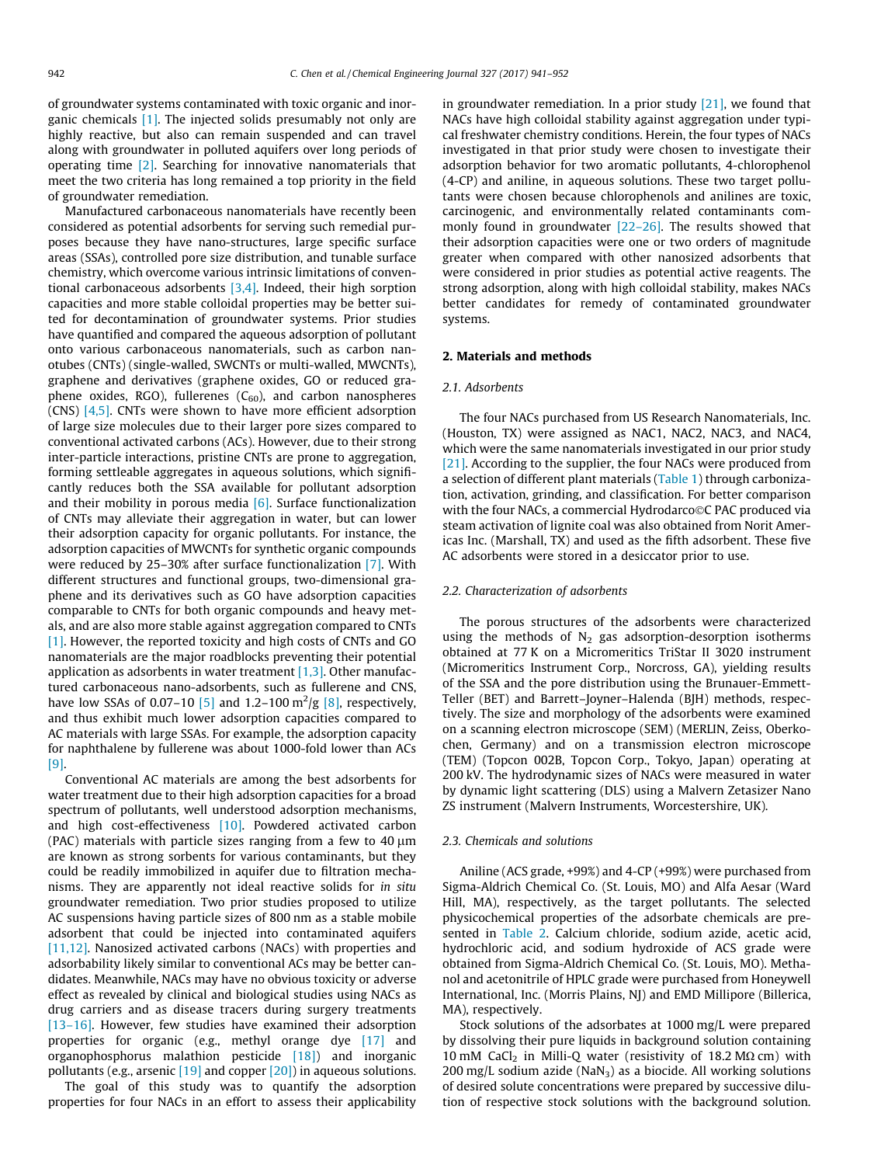of groundwater systems contaminated with toxic organic and inorganic chemicals [\[1\]](#page--1-0). The injected solids presumably not only are highly reactive, but also can remain suspended and can travel along with groundwater in polluted aquifers over long periods of operating time [\[2\]](#page--1-0). Searching for innovative nanomaterials that meet the two criteria has long remained a top priority in the field of groundwater remediation.

Manufactured carbonaceous nanomaterials have recently been considered as potential adsorbents for serving such remedial purposes because they have nano-structures, large specific surface areas (SSAs), controlled pore size distribution, and tunable surface chemistry, which overcome various intrinsic limitations of conventional carbonaceous adsorbents [\[3,4\].](#page--1-0) Indeed, their high sorption capacities and more stable colloidal properties may be better suited for decontamination of groundwater systems. Prior studies have quantified and compared the aqueous adsorption of pollutant onto various carbonaceous nanomaterials, such as carbon nanotubes (CNTs) (single-walled, SWCNTs or multi-walled, MWCNTs), graphene and derivatives (graphene oxides, GO or reduced graphene oxides, RGO), fullerenes  $(C_{60})$ , and carbon nanospheres (CNS) [\[4,5\].](#page--1-0) CNTs were shown to have more efficient adsorption of large size molecules due to their larger pore sizes compared to conventional activated carbons (ACs). However, due to their strong inter-particle interactions, pristine CNTs are prone to aggregation, forming settleable aggregates in aqueous solutions, which significantly reduces both the SSA available for pollutant adsorption and their mobility in porous media  $[6]$ . Surface functionalization of CNTs may alleviate their aggregation in water, but can lower their adsorption capacity for organic pollutants. For instance, the adsorption capacities of MWCNTs for synthetic organic compounds were reduced by 25–30% after surface functionalization [\[7\].](#page--1-0) With different structures and functional groups, two-dimensional graphene and its derivatives such as GO have adsorption capacities comparable to CNTs for both organic compounds and heavy metals, and are also more stable against aggregation compared to CNTs [\[1\]](#page--1-0). However, the reported toxicity and high costs of CNTs and GO nanomaterials are the major roadblocks preventing their potential application as adsorbents in water treatment  $[1,3]$ . Other manufactured carbonaceous nano-adsorbents, such as fullerene and CNS, have low SSAs of 0.07–10 [\[5\]](#page--1-0) and 1.2–100  $\rm m^2/g$  [\[8\]](#page--1-0), respectively, and thus exhibit much lower adsorption capacities compared to AC materials with large SSAs. For example, the adsorption capacity for naphthalene by fullerene was about 1000-fold lower than ACs [\[9\]](#page--1-0).

Conventional AC materials are among the best adsorbents for water treatment due to their high adsorption capacities for a broad spectrum of pollutants, well understood adsorption mechanisms, and high cost-effectiveness [\[10\].](#page--1-0) Powdered activated carbon (PAC) materials with particle sizes ranging from a few to  $40 \mu m$ are known as strong sorbents for various contaminants, but they could be readily immobilized in aquifer due to filtration mechanisms. They are apparently not ideal reactive solids for in situ groundwater remediation. Two prior studies proposed to utilize AC suspensions having particle sizes of 800 nm as a stable mobile adsorbent that could be injected into contaminated aquifers [\[11,12\].](#page--1-0) Nanosized activated carbons (NACs) with properties and adsorbability likely similar to conventional ACs may be better candidates. Meanwhile, NACs may have no obvious toxicity or adverse effect as revealed by clinical and biological studies using NACs as drug carriers and as disease tracers during surgery treatments [\[13–16\]](#page--1-0). However, few studies have examined their adsorption properties for organic (e.g., methyl orange dye [\[17\]](#page--1-0) and organophosphorus malathion pesticide [\[18\]](#page--1-0)) and inorganic pollutants (e.g., arsenic  $[19]$  and copper  $[20]$ ) in aqueous solutions.

The goal of this study was to quantify the adsorption properties for four NACs in an effort to assess their applicability in groundwater remediation. In a prior study [\[21\]](#page--1-0), we found that NACs have high colloidal stability against aggregation under typical freshwater chemistry conditions. Herein, the four types of NACs investigated in that prior study were chosen to investigate their adsorption behavior for two aromatic pollutants, 4-chlorophenol (4-CP) and aniline, in aqueous solutions. These two target pollutants were chosen because chlorophenols and anilines are toxic, carcinogenic, and environmentally related contaminants commonly found in groundwater [\[22–26\]](#page--1-0). The results showed that their adsorption capacities were one or two orders of magnitude greater when compared with other nanosized adsorbents that were considered in prior studies as potential active reagents. The strong adsorption, along with high colloidal stability, makes NACs better candidates for remedy of contaminated groundwater systems.

#### 2. Materials and methods

#### 2.1. Adsorbents

The four NACs purchased from US Research Nanomaterials, Inc. (Houston, TX) were assigned as NAC1, NAC2, NAC3, and NAC4, which were the same nanomaterials investigated in our prior study [\[21\]](#page--1-0). According to the supplier, the four NACs were produced from a selection of different plant materials ([Table 1\)](#page--1-0) through carbonization, activation, grinding, and classification. For better comparison with the four NACs, a commercial Hydrodarco©C PAC produced via steam activation of lignite coal was also obtained from Norit Americas Inc. (Marshall, TX) and used as the fifth adsorbent. These five AC adsorbents were stored in a desiccator prior to use.

#### 2.2. Characterization of adsorbents

The porous structures of the adsorbents were characterized using the methods of  $N_2$  gas adsorption-desorption isotherms obtained at 77 K on a Micromeritics TriStar II 3020 instrument (Micromeritics Instrument Corp., Norcross, GA), yielding results of the SSA and the pore distribution using the Brunauer-Emmett-Teller (BET) and Barrett–Joyner–Halenda (BJH) methods, respectively. The size and morphology of the adsorbents were examined on a scanning electron microscope (SEM) (MERLIN, Zeiss, Oberkochen, Germany) and on a transmission electron microscope (TEM) (Topcon 002B, Topcon Corp., Tokyo, Japan) operating at 200 kV. The hydrodynamic sizes of NACs were measured in water by dynamic light scattering (DLS) using a Malvern Zetasizer Nano ZS instrument (Malvern Instruments, Worcestershire, UK).

#### 2.3. Chemicals and solutions

Aniline (ACS grade, +99%) and 4-CP (+99%) were purchased from Sigma-Aldrich Chemical Co. (St. Louis, MO) and Alfa Aesar (Ward Hill, MA), respectively, as the target pollutants. The selected physicochemical properties of the adsorbate chemicals are presented in [Table 2](#page--1-0). Calcium chloride, sodium azide, acetic acid, hydrochloric acid, and sodium hydroxide of ACS grade were obtained from Sigma-Aldrich Chemical Co. (St. Louis, MO). Methanol and acetonitrile of HPLC grade were purchased from Honeywell International, Inc. (Morris Plains, NJ) and EMD Millipore (Billerica, MA), respectively.

Stock solutions of the adsorbates at 1000 mg/L were prepared by dissolving their pure liquids in background solution containing 10 mM CaCl<sub>2</sub> in Milli-Q water (resistivity of 18.2 M $\Omega$  cm) with  $200 \text{ mg/L}$  sodium azide (NaN<sub>3</sub>) as a biocide. All working solutions of desired solute concentrations were prepared by successive dilution of respective stock solutions with the background solution.